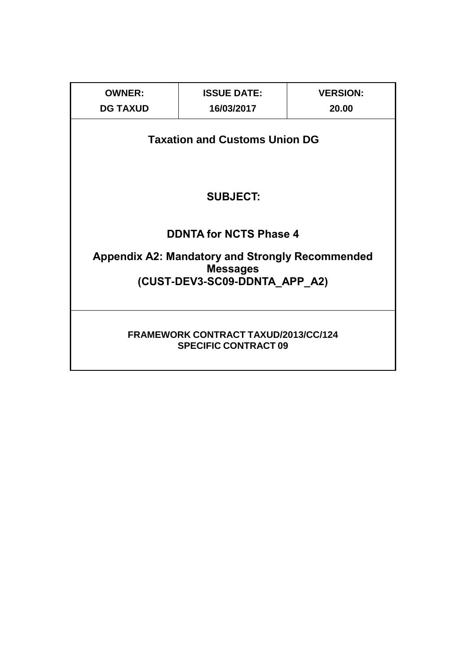| <b>OWNER:</b>                                                                                              | <b>ISSUE DATE:</b><br><b>VERSION:</b> |       |  |  |  |  |  |  |  |  |  |
|------------------------------------------------------------------------------------------------------------|---------------------------------------|-------|--|--|--|--|--|--|--|--|--|
| <b>DG TAXUD</b>                                                                                            | 16/03/2017                            | 20.00 |  |  |  |  |  |  |  |  |  |
| <b>Taxation and Customs Union DG</b>                                                                       |                                       |       |  |  |  |  |  |  |  |  |  |
| <b>SUBJECT:</b>                                                                                            |                                       |       |  |  |  |  |  |  |  |  |  |
|                                                                                                            | <b>DDNTA for NCTS Phase 4</b>         |       |  |  |  |  |  |  |  |  |  |
| <b>Appendix A2: Mandatory and Strongly Recommended</b><br><b>Messages</b><br>(CUST-DEV3-SC09-DDNTA APP A2) |                                       |       |  |  |  |  |  |  |  |  |  |
| <b>FRAMEWORK CONTRACT TAXUD/2013/CC/124</b><br><b>SPECIFIC CONTRACT 09</b>                                 |                                       |       |  |  |  |  |  |  |  |  |  |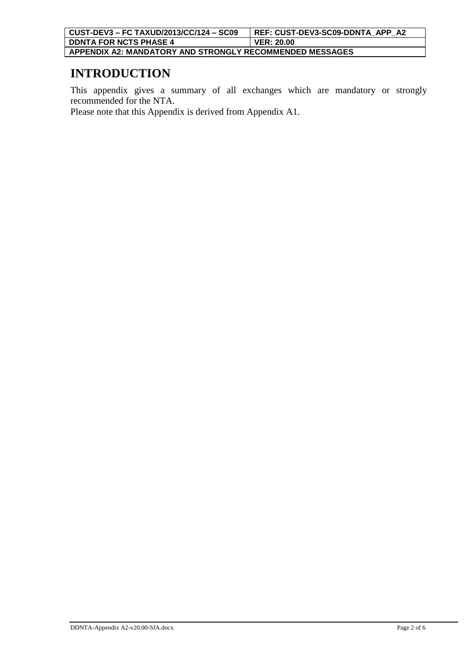### **INTRODUCTION**

This appendix gives a summary of all exchanges which are mandatory or strongly recommended for the NTA.

Please note that this Appendix is derived from Appendix A1.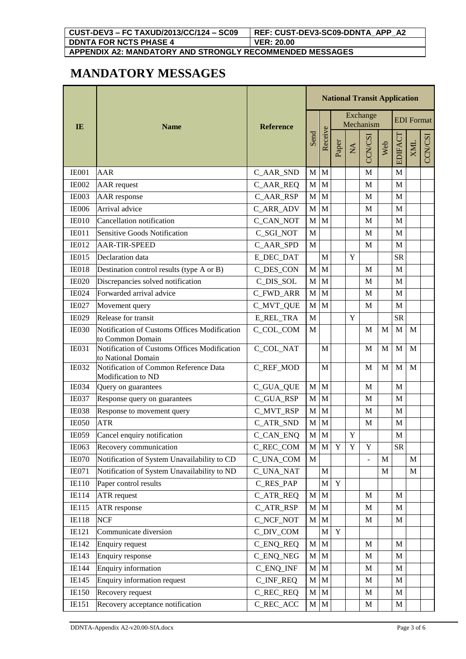| CUST-DEV3 - FC TAXUD/2013/CC/124 - SC09                  | REF: CUST-DEV3-SC09-DDNTA APP A2 |
|----------------------------------------------------------|----------------------------------|
| <b>DONTA FOR NCTS PHASE 4</b>                            | <b>VER: 20.00</b>                |
| APPENDIX A2: MANDATORY AND STRONGLY RECOMMENDED MESSAGES |                                  |

## **MANDATORY MESSAGES**

|                       |                                                                    |                  | <b>National Transit Application</b> |         |             |                            |                          |              |                   |             |               |  |
|-----------------------|--------------------------------------------------------------------|------------------|-------------------------------------|---------|-------------|----------------------------|--------------------------|--------------|-------------------|-------------|---------------|--|
| $\mathbf{I}$ <b>E</b> | <b>Name</b>                                                        | <b>Reference</b> |                                     |         |             |                            | Exchange<br>Mechanism    |              | <b>EDI</b> Format |             |               |  |
|                       |                                                                    |                  | Send                                | Receive | Paper       | $\mathop{\rm NA}\nolimits$ | CCN/CSI                  | Web          | EDIFACT           | <b>XML</b>  | <b>CCN/CS</b> |  |
| <b>IE001</b>          | AAR                                                                | C_AAR_SND        | $\mathbf M$                         | M       |             |                            | M                        |              | M                 |             |               |  |
| <b>IE002</b>          | <b>AAR</b> request                                                 | C_AAR_REQ        | M                                   | M       |             |                            | M                        |              | M                 |             |               |  |
| IE003                 | <b>AAR</b> response                                                | C_AAR_RSP        | $\mathbf M$                         | M       |             |                            | M                        |              | M                 |             |               |  |
| <b>IE006</b>          | Arrival advice                                                     | C_ARR_ADV        | $\mathbf M$                         | M       |             |                            | M                        |              | M                 |             |               |  |
| <b>IE010</b>          | Cancellation notification                                          | C_CAN_NOT        | $\mathbf{M}$                        | M       |             |                            | M                        |              | M                 |             |               |  |
| <b>IE011</b>          | Sensitive Goods Notification                                       | C_SGI_NOT        | $\mathbf M$                         |         |             |                            | M                        |              | M                 |             |               |  |
| <b>IE012</b>          | <b>AAR-TIR-SPEED</b>                                               | C_AAR_SPD        | $\mathbf M$                         |         |             |                            | M                        |              | M                 |             |               |  |
| <b>IE015</b>          | Declaration data                                                   | <b>E_DEC_DAT</b> |                                     | M       |             | Y                          |                          |              | <b>SR</b>         |             |               |  |
| IE018                 | Destination control results (type A or B)                          | C_DES_CON        | $\mathbf M$                         | M       |             |                            | M                        |              | M                 |             |               |  |
| <b>IE020</b>          | Discrepancies solved notification                                  | C DIS SOL        | $\mathbf M$                         | M       |             |                            | M                        |              | M                 |             |               |  |
| <b>IE024</b>          | Forwarded arrival advice                                           | C_FWD_ARR        | $\mathbf M$                         | M       |             |                            | M                        |              | M                 |             |               |  |
| <b>IE027</b>          | Movement query                                                     | C_MVT_QUE        | $\mathbf{M}$                        | M       |             |                            | M                        |              | M                 |             |               |  |
| <b>IE029</b>          | Release for transit                                                | <b>E_REL_TRA</b> | $\mathbf M$                         |         |             | $\mathbf Y$                |                          |              | <b>SR</b>         |             |               |  |
| <b>IE030</b>          | Notification of Customs Offices Modification<br>to Common Domain   | C_COL_COM        | $\mathbf M$                         |         |             |                            | M                        | M            | M                 | M           |               |  |
| <b>IE031</b>          | Notification of Customs Offices Modification<br>to National Domain | C_COL_NAT        |                                     | M       |             |                            | M                        | M            | M                 | M           |               |  |
| <b>IE032</b>          | Notification of Common Reference Data<br>Modification to ND        | C_REF_MOD        |                                     | M       |             |                            | M                        | M            | M                 | M           |               |  |
| <b>IE034</b>          | Query on guarantees                                                | C_GUA_QUE        | M                                   | M       |             |                            | M                        |              | M                 |             |               |  |
| <b>IE037</b>          | Response query on guarantees                                       | C_GUA_RSP        | $\mathbf M$                         | M       |             |                            | M                        |              | M                 |             |               |  |
| <b>IE038</b>          | Response to movement query                                         | C_MVT_RSP        | $\mathbf M$                         | M       |             |                            | M                        |              | M                 |             |               |  |
| <b>IE050</b>          | <b>ATR</b>                                                         | C ATR SND        | $\mathbf M$                         | M       |             |                            | M                        |              | M                 |             |               |  |
| IE059                 | Cancel enquiry notification                                        | C_CAN_ENQ        |                                     | $M$ $M$ |             | $\mathbf Y$                |                          |              | $\mathbf M$       |             |               |  |
| IE063                 | Recovery communication                                             | C_REC_COM        |                                     | $M$ $M$ | Y           | $\mathbf Y$                | Y                        |              | <b>SR</b>         |             |               |  |
| <b>IE070</b>          | Notification of System Unavailability to CD                        | C_UNA_COM        | M                                   |         |             |                            | $\overline{\phantom{a}}$ | $\mathbf{M}$ |                   | M           |               |  |
| IE071                 | Notification of System Unavailability to ND                        | <b>C_UNA_NAT</b> |                                     | M       |             |                            |                          | M            |                   | $\mathbf M$ |               |  |
| <b>IE110</b>          | Paper control results                                              | C_RES_PAP        |                                     | M       | $\mathbf Y$ |                            |                          |              |                   |             |               |  |
| IE114                 | <b>ATR</b> request                                                 | C_ATR_REQ        | $\mathbf M$                         | M       |             |                            | M                        |              | M                 |             |               |  |
| <b>IE115</b>          | ATR response                                                       | C_ATR_RSP        | M                                   | M       |             |                            | M                        |              | $\mathbf M$       |             |               |  |
| <b>IE118</b>          | <b>NCF</b>                                                         | C_NCF_NOT        | $\mathbf M$                         | M       |             |                            | M                        |              | M                 |             |               |  |
| IE121                 | Communicate diversion                                              | C_DIV_COM        |                                     | M       | $\mathbf Y$ |                            |                          |              |                   |             |               |  |
| IE142                 | <b>Enquiry request</b>                                             | C_ENQ_REQ        | $\mathbf M$                         | M       |             |                            | M                        |              | M                 |             |               |  |
| IE143                 | <b>Enquiry response</b>                                            | C_ENQ_NEG        | M                                   | M       |             |                            | M                        |              | M                 |             |               |  |
| IE144                 | Enquiry information                                                | C_ENQ_INF        | $\mathbf M$                         | M       |             |                            | M                        |              | M                 |             |               |  |
| IE145                 | Enquiry information request                                        | C_INF_REQ        | M                                   | M       |             |                            | M                        |              | M                 |             |               |  |
| $IE150$               | Recovery request                                                   | C_REC_REQ        | M                                   | M       |             |                            | M                        |              | $\mathbf{M}$      |             |               |  |
| IE151                 | Recovery acceptance notification                                   | C_REC_ACC        | $M$ $M$                             |         |             |                            | M                        |              | $\mathbf{M}$      |             |               |  |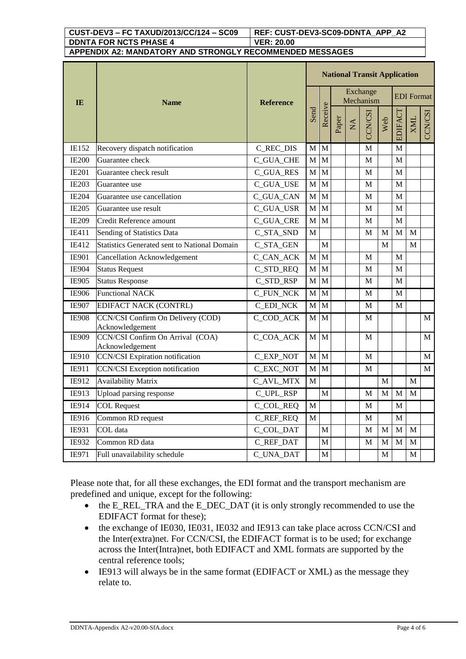### **CUST-DEV3 – FC TAXUD/2013/CC/124 – SC09 REF: CUST-DEV3-SC09-DDNTA\_APP\_A2 DDNTA FOR NCTS PHASE 4 VER: 20.00**

#### **APPENDIX A2: MANDATORY AND STRONGLY RECOMMENDED MESSAGES**

|              | <b>Name</b>                                          |                  |              | <b>National Transit Application</b> |       |              |                       |             |                   |             |              |  |  |
|--------------|------------------------------------------------------|------------------|--------------|-------------------------------------|-------|--------------|-----------------------|-------------|-------------------|-------------|--------------|--|--|
| <b>IE</b>    |                                                      | <b>Reference</b> | Send         |                                     |       |              | Exchange<br>Mechanism |             | <b>EDI</b> Format |             |              |  |  |
|              |                                                      |                  |              | Receive                             | Paper | $\mathbf{X}$ | CCN/CSI               | Web         | EDIFACT           | <b>XML</b>  | CCN/CSI      |  |  |
| IE152        | Recovery dispatch notification                       | C_REC_DIS        | M            | M                                   |       |              | $\mathbf M$           |             | M                 |             |              |  |  |
| <b>IE200</b> | Guarantee check                                      | <b>C_GUA_CHE</b> | $\mathbf M$  | M                                   |       |              | M                     |             | $\mathbf M$       |             |              |  |  |
| <b>IE201</b> | Guarantee check result                               | <b>C_GUA_RES</b> | $\mathbf{M}$ | M                                   |       |              | $\mathbf M$           |             | M                 |             |              |  |  |
| <b>IE203</b> | Guarantee use                                        | C_GUA_USE        | $\mathbf M$  | M                                   |       |              | M                     |             | M                 |             |              |  |  |
| <b>IE204</b> | Guarantee use cancellation                           | C_GUA_CAN        | $\mathbf M$  | M                                   |       |              | М                     |             | M                 |             |              |  |  |
| <b>IE205</b> | Guarantee use result                                 | C_GUA_USR        | $\mathbf M$  | M                                   |       |              | M                     |             | M                 |             |              |  |  |
| <b>IE209</b> | Credit Reference amount                              | <b>C_GUA_CRE</b> | $\mathbf M$  | M                                   |       |              | М                     |             | M                 |             |              |  |  |
| IE411        | Sending of Statistics Data                           | C_STA_SND        | $\mathbf{M}$ |                                     |       |              | M                     | M           | M                 | M           |              |  |  |
| IE412        | <b>Statistics Generated sent to National Domain</b>  | C_STA_GEN        |              | M                                   |       |              |                       | M           |                   | M           |              |  |  |
| <b>IE901</b> | <b>Cancellation Acknowledgement</b>                  | C_CAN_ACK        | $\mathbf M$  | M                                   |       |              | M                     |             | M                 |             |              |  |  |
| <b>IE904</b> | <b>Status Request</b>                                | C_STD_REQ        | M            | $\mathbf{M}$                        |       |              | M                     |             | M                 |             |              |  |  |
| IE905        | <b>Status Response</b>                               | C_STD_RSP        | M            | M                                   |       |              | М                     |             | M                 |             |              |  |  |
| <b>IE906</b> | <b>Functional NACK</b>                               | <b>C_FUN_NCK</b> | M            | M                                   |       |              | M                     |             | M                 |             |              |  |  |
| <b>IE907</b> | <b>EDIFACT NACK (CONTRL)</b>                         | <b>C_EDI_NCK</b> | M            | $\mathbf M$                         |       |              | M                     |             | M                 |             |              |  |  |
| <b>IE908</b> | CCN/CSI Confirm On Delivery (COD)<br>Acknowledgement | C_COD_ACK        | $\mathbf M$  | M                                   |       |              | M                     |             |                   |             | $\mathbf{M}$ |  |  |
| IE909        | CCN/CSI Confirm On Arrival (COA)<br>Acknowledgement  | C_COA_ACK        | $\mathbf{M}$ | M                                   |       |              | M                     |             |                   |             | M            |  |  |
| IE910        | <b>CCN/CSI</b> Expiration notification               | C_EXP_NOT        | $\mathbf{M}$ | $\mathbf{M}$                        |       |              | M                     |             |                   |             | $\mathbf{M}$ |  |  |
| IE911        | <b>CCN/CSI</b> Exception notification                | C_EXC_NOT        | $\mathbf{M}$ | M                                   |       |              | M                     |             |                   |             | $\mathbf{M}$ |  |  |
| IE912        | <b>Availability Matrix</b>                           | C_AVL_MTX        | M            |                                     |       |              |                       | M           |                   | M           |              |  |  |
| IE913        | Upload parsing response                              | C_UPL_RSP        |              | M                                   |       |              | M                     | M           | M                 | M           |              |  |  |
| IE914        | <b>COL Request</b>                                   | C_COL_REQ        | M            |                                     |       |              | M                     |             | M                 |             |              |  |  |
| IE916        | Common RD request                                    | C_REF_REQ        | M            |                                     |       |              | M                     |             | M                 |             |              |  |  |
| IE931        | COL data                                             | C_COL_DAT        |              | M                                   |       |              | M                     | M           | M                 | M           |              |  |  |
| IE932        | Common RD data                                       | C_REF_DAT        |              | M                                   |       |              | М                     | M           | M                 | M           |              |  |  |
| IE971        | Full unavailability schedule                         | C_UNA_DAT        |              | $\mathbf M$                         |       |              |                       | $\mathbf M$ |                   | $\mathbf M$ |              |  |  |

Please note that, for all these exchanges, the EDI format and the transport mechanism are predefined and unique, except for the following:

- the E\_REL\_TRA and the E\_DEC\_DAT (it is only strongly recommended to use the EDIFACT format for these);
- the exchange of IE030, IE031, IE032 and IE913 can take place across CCN/CSI and the Inter(extra)net. For CCN/CSI, the EDIFACT format is to be used; for exchange across the Inter(Intra)net, both EDIFACT and XML formats are supported by the central reference tools;
- IE913 will always be in the same format (EDIFACT or XML) as the message they relate to.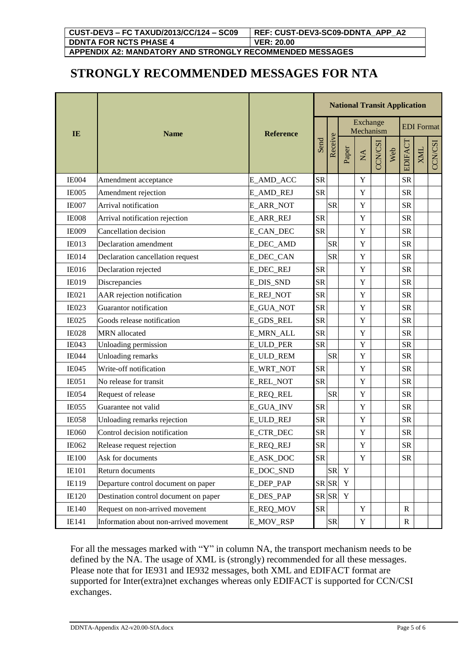## **STRONGLY RECOMMENDED MESSAGES FOR NTA**

|              | <b>Name</b>                            |                  | <b>National Transit Application</b> |           |                       |                           |         |     |              |                   |                |  |
|--------------|----------------------------------------|------------------|-------------------------------------|-----------|-----------------------|---------------------------|---------|-----|--------------|-------------------|----------------|--|
| IE           |                                        | <b>Reference</b> | Send                                |           | Exchange<br>Mechanism |                           |         |     |              | <b>EDI</b> Format |                |  |
|              |                                        |                  |                                     | Receive   | Paper                 | $\mathbb{X}^{\mathsf{A}}$ | CCN/CSI | Web | EDIFACT      | XML               | <b>CCN/CSI</b> |  |
| IE004        | Amendment acceptance                   | E_AMD_ACC        | <b>SR</b>                           |           |                       | $\mathbf Y$               |         |     | <b>SR</b>    |                   |                |  |
| IE005        | Amendment rejection                    | E_AMD_REJ        | <b>SR</b>                           |           |                       | Y                         |         |     | <b>SR</b>    |                   |                |  |
| <b>IE007</b> | Arrival notification                   | E_ARR_NOT        |                                     | <b>SR</b> |                       | $\mathbf Y$               |         |     | <b>SR</b>    |                   |                |  |
| <b>IE008</b> | Arrival notification rejection         | <b>E_ARR_REJ</b> | ${\rm SR}$                          |           |                       | $\mathbf Y$               |         |     | <b>SR</b>    |                   |                |  |
| <b>IE009</b> | Cancellation decision                  | E_CAN_DEC        | <b>SR</b>                           |           |                       | $\mathbf Y$               |         |     | <b>SR</b>    |                   |                |  |
| <b>IE013</b> | Declaration amendment                  | E_DEC_AMD        |                                     | <b>SR</b> |                       | $\mathbf Y$               |         |     | <b>SR</b>    |                   |                |  |
| <b>IE014</b> | Declaration cancellation request       | <b>E_DEC_CAN</b> |                                     | <b>SR</b> |                       | $\mathbf Y$               |         |     | <b>SR</b>    |                   |                |  |
| <b>IE016</b> | Declaration rejected                   | <b>E_DEC_REJ</b> | <b>SR</b>                           |           |                       | $\mathbf Y$               |         |     | <b>SR</b>    |                   |                |  |
| <b>IE019</b> | Discrepancies                          | E_DIS_SND        | <b>SR</b>                           |           |                       | $\mathbf Y$               |         |     | <b>SR</b>    |                   |                |  |
| IE021        | AAR rejection notification             | <b>E_REJ_NOT</b> | <b>SR</b>                           |           |                       | $\mathbf Y$               |         |     | <b>SR</b>    |                   |                |  |
| <b>IE023</b> | Guarantor notification                 | E_GUA_NOT        | <b>SR</b>                           |           |                       | $\mathbf Y$               |         |     | <b>SR</b>    |                   |                |  |
| <b>IE025</b> | Goods release notification             | E_GDS_REL        | <b>SR</b>                           |           |                       | $\mathbf Y$               |         |     | <b>SR</b>    |                   |                |  |
| <b>IE028</b> | <b>MRN</b> allocated                   | <b>E_MRN_ALL</b> | <b>SR</b>                           |           |                       | $\mathbf Y$               |         |     | <b>SR</b>    |                   |                |  |
| <b>IE043</b> | Unloading permission                   | E_ULD_PER        | <b>SR</b>                           |           |                       | $\mathbf Y$               |         |     | <b>SR</b>    |                   |                |  |
| <b>IE044</b> | <b>Unloading remarks</b>               | E_ULD_REM        |                                     | <b>SR</b> |                       | $\mathbf Y$               |         |     | <b>SR</b>    |                   |                |  |
| <b>IE045</b> | Write-off notification                 | E_WRT_NOT        | <b>SR</b>                           |           |                       | $\mathbf Y$               |         |     | <b>SR</b>    |                   |                |  |
| <b>IE051</b> | No release for transit                 | <b>E_REL_NOT</b> | <b>SR</b>                           |           |                       | $\mathbf Y$               |         |     | <b>SR</b>    |                   |                |  |
| <b>IE054</b> | Request of release                     | E_REQ_REL        |                                     | <b>SR</b> |                       | $\mathbf Y$               |         |     | <b>SR</b>    |                   |                |  |
| <b>IE055</b> | Guarantee not valid                    | E_GUA_INV        | <b>SR</b>                           |           |                       | $\mathbf Y$               |         |     | <b>SR</b>    |                   |                |  |
| <b>IE058</b> | Unloading remarks rejection            | <b>E_ULD_REJ</b> | <b>SR</b>                           |           |                       | $\mathbf Y$               |         |     | <b>SR</b>    |                   |                |  |
| <b>IE060</b> | Control decision notification          | E_CTR_DEC        | ${\rm SR}$                          |           |                       | $\mathbf Y$               |         |     | <b>SR</b>    |                   |                |  |
| IE062        | Release request rejection              | <b>E_REQ_REJ</b> | <b>SR</b>                           |           |                       | Y                         |         |     | ${\rm SR}$   |                   |                |  |
| <b>IE100</b> | Ask for documents                      | E_ASK_DOC        | <b>SR</b>                           |           |                       | Y                         |         |     | <b>SR</b>    |                   |                |  |
| <b>IE101</b> | Return documents                       | E DOC SND        |                                     | <b>SR</b> | $\mathbf Y$           |                           |         |     |              |                   |                |  |
| IE119        | Departure control document on paper    | E_DEP_PAP        | SR SR                               |           | Y                     |                           |         |     |              |                   |                |  |
| <b>IE120</b> | Destination control document on paper  | E_DES_PAP        | SR SR                               |           | $\mathbf Y$           |                           |         |     |              |                   |                |  |
| <b>IE140</b> | Request on non-arrived movement        | <b>E_REQ_MOV</b> | ${\rm SR}$                          |           |                       | $\mathbf Y$               |         |     | $\mathbb{R}$ |                   |                |  |
| IE141        | Information about non-arrived movement | E_MOV_RSP        |                                     | <b>SR</b> |                       | Y                         |         |     | $\mathbf R$  |                   |                |  |

For all the messages marked with "Y" in column NA, the transport mechanism needs to be defined by the NA. The usage of XML is (strongly) recommended for all these messages. Please note that for IE931 and IE932 messages, both XML and EDIFACT format are supported for Inter(extra)net exchanges whereas only EDIFACT is supported for CCN/CSI exchanges.